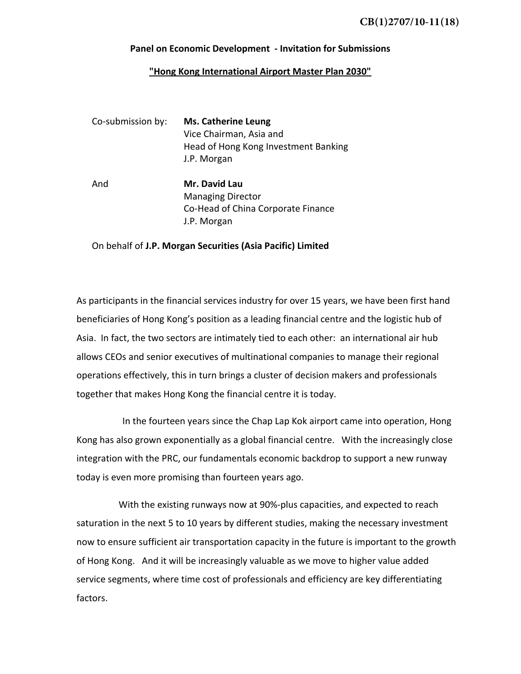## **Panel on Economic Development ‐ Invitation for Submissions**

## **"Hong Kong International Airport Master Plan 2030"**

| Co-submission by: | <b>Ms. Catherine Leung</b><br>Vice Chairman, Asia and<br>Head of Hong Kong Investment Banking<br>J.P. Morgan |
|-------------------|--------------------------------------------------------------------------------------------------------------|
| And               | Mr. David Lau<br><b>Managing Director</b><br>Co-Head of China Corporate Finance<br>J.P. Morgan               |

## On behalf of **J.P. Morgan Securities (Asia Pacific) Limited**

As participants in the financial services industry for over 15 years, we have been first hand beneficiaries of Hong Kong's position as a leading financial centre and the logistic hub of Asia. In fact, the two sectors are intimately tied to each other: an international air hub allows CEOs and senior executives of multinational companies to manage their regional operations effectively, this in turn brings a cluster of decision makers and professionals together that makes Hong Kong the financial centre it is today.

 In the fourteen years since the Chap Lap Kok airport came into operation, Hong Kong has also grown exponentially as a global financial centre. With the increasingly close integration with the PRC, our fundamentals economic backdrop to support a new runway today is even more promising than fourteen years ago.

With the existing runways now at 90%‐plus capacities, and expected to reach saturation in the next 5 to 10 years by different studies, making the necessary investment now to ensure sufficient air transportation capacity in the future is important to the growth of Hong Kong. And it will be increasingly valuable as we move to higher value added service segments, where time cost of professionals and efficiency are key differentiating factors.